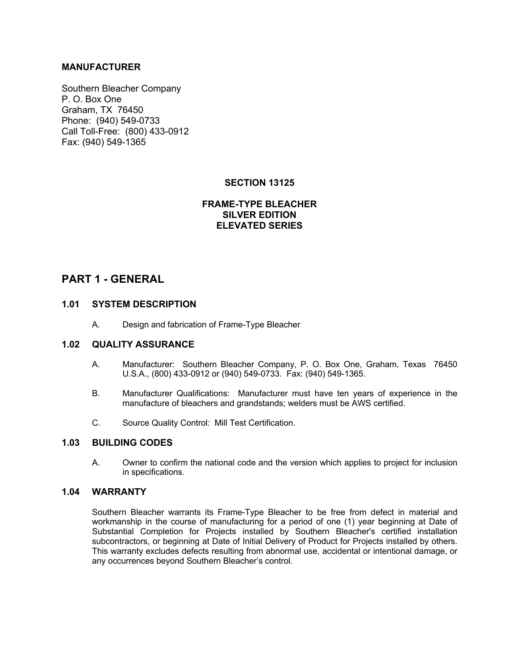### **MANUFACTURER**

Southern Bleacher Company P. O. Box One Graham, TX 76450 Phone: (940) 549-0733 Call Toll-Free: (800) 433-0912 Fax: (940) 549-1365

## **SECTION 13125**

## **FRAME-TYPE BLEACHER SILVER EDITION ELEVATED SERIES**

## **PART 1 - GENERAL**

### **1.01 SYSTEM DESCRIPTION**

A. Design and fabrication of Frame-Type Bleacher

### **1.02 QUALITY ASSURANCE**

- A. Manufacturer: Southern Bleacher Company, P. O. Box One, Graham, Texas 76450 U.S.A., (800) 433-0912 or (940) 549-0733. Fax: (940) 549-1365.
- B. Manufacturer Qualifications: Manufacturer must have ten years of experience in the manufacture of bleachers and grandstands; welders must be AWS certified.
- C. Source Quality Control: Mill Test Certification.

### **1.03 BUILDING CODES**

A. Owner to confirm the national code and the version which applies to project for inclusion in specifications.

#### **1.04 WARRANTY**

Southern Bleacher warrants its Frame-Type Bleacher to be free from defect in material and workmanship in the course of manufacturing for a period of one (1) year beginning at Date of Substantial Completion for Projects installed by Southern Bleacher's certified installation subcontractors, or beginning at Date of Initial Delivery of Product for Projects installed by others. This warranty excludes defects resulting from abnormal use, accidental or intentional damage, or any occurrences beyond Southern Bleacher's control.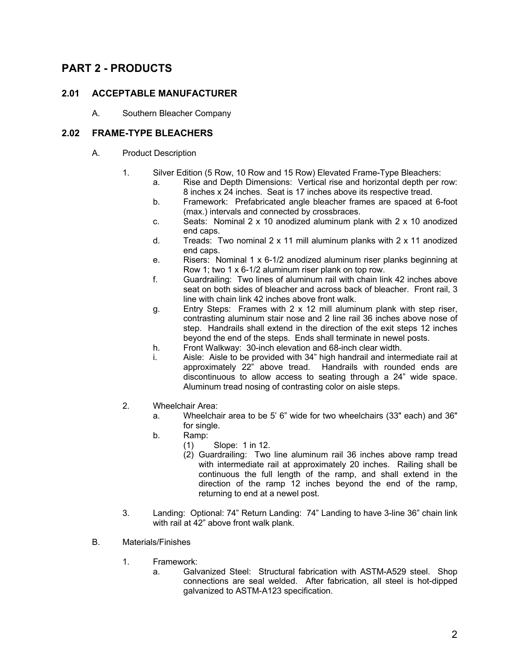# **PART 2 - PRODUCTS**

### **2.01 ACCEPTABLE MANUFACTURER**

A. Southern Bleacher Company

### **2.02 FRAME-TYPE BLEACHERS**

- A. Product Description
	- 1. Silver Edition (5 Row, 10 Row and 15 Row) Elevated Frame-Type Bleachers:
		- a. Rise and Depth Dimensions: Vertical rise and horizontal depth per row: 8 inches x 24 inches. Seat is 17 inches above its respective tread.
		- b. Framework: Prefabricated angle bleacher frames are spaced at 6-foot (max.) intervals and connected by crossbraces.
		- c. Seats: Nominal  $2 \times 10$  anodized aluminum plank with  $2 \times 10$  anodized end caps.
		- d. Treads: Two nominal 2 x 11 mill aluminum planks with 2 x 11 anodized end caps.
		- e. Risers: Nominal 1 x 6-1/2 anodized aluminum riser planks beginning at Row 1; two 1 x 6-1/2 aluminum riser plank on top row.
		- f. Guardrailing: Two lines of aluminum rail with chain link 42 inches above seat on both sides of bleacher and across back of bleacher. Front rail, 3 line with chain link 42 inches above front walk.
		- g. Entry Steps: Frames with 2 x 12 mill aluminum plank with step riser, contrasting aluminum stair nose and 2 line rail 36 inches above nose of step. Handrails shall extend in the direction of the exit steps 12 inches beyond the end of the steps. Ends shall terminate in newel posts.
		- h. Front Walkway: 30-inch elevation and 68-inch clear width.
		- i. Aisle: Aisle to be provided with 34" high handrail and intermediate rail at approximately 22" above tread. Handrails with rounded ends are discontinuous to allow access to seating through a 24" wide space. Aluminum tread nosing of contrasting color on aisle steps.
	- 2. Wheelchair Area:
		- a. Wheelchair area to be 5' 6" wide for two wheelchairs (33" each) and 36" for single.
		- b. Ramp:
			- (1) Slope: 1 in 12.
			- (2) Guardrailing: Two line aluminum rail 36 inches above ramp tread with intermediate rail at approximately 20 inches. Railing shall be continuous the full length of the ramp, and shall extend in the direction of the ramp 12 inches beyond the end of the ramp, returning to end at a newel post.
	- 3. Landing: Optional: 74" Return Landing: 74" Landing to have 3-line 36" chain link with rail at 42" above front walk plank.
- B. Materials/Finishes
	- 1. Framework:
		- a. Galvanized Steel: Structural fabrication with ASTM-A529 steel. Shop connections are seal welded. After fabrication, all steel is hot-dipped galvanized to ASTM-A123 specification.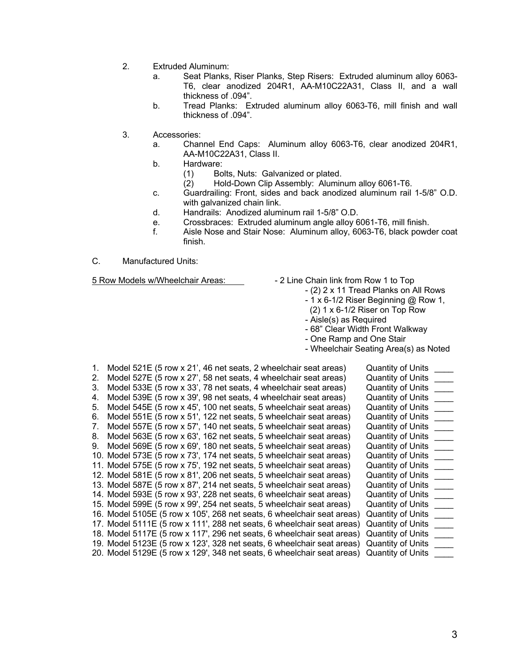- 2. Extruded Aluminum:
	- a. Seat Planks, Riser Planks, Step Risers: Extruded aluminum alloy 6063- T6, clear anodized 204R1, AA-M10C22A31, Class II, and a wall thickness of .094".
	- b. Tread Planks: Extruded aluminum alloy 6063-T6, mill finish and wall thickness of .094".
- 3. Accessories:
	- a. Channel End Caps: Aluminum alloy 6063-T6, clear anodized 204R1, AA-M10C22A31, Class II.
	- b. Hardware:
		- (1) Bolts, Nuts: Galvanized or plated.
		- (2) Hold-Down Clip Assembly: Aluminum alloy 6061-T6.
	- c. Guardrailing: Front, sides and back anodized aluminum rail 1-5/8" O.D. with galvanized chain link.
	- d. Handrails: Anodized aluminum rail 1-5/8" O.D.
	- e. Crossbraces: Extruded aluminum angle alloy 6061-T6, mill finish.
	- f. Aisle Nose and Stair Nose: Aluminum alloy, 6063-T6, black powder coat finish.
- C. Manufactured Units:

- 5 Row Models w/Wheelchair Areas:  $\overline{\phantom{a}}$  2 Line Chain link from Row 1 to Top
	- (2) 2 x 11 Tread Planks on All Rows
		- 1 x 6-1/2 Riser Beginning @ Row 1,
		- (2) 1 x 6-1/2 Riser on Top Row
		- Aisle(s) as Required
		- 68" Clear Width Front Walkway
		- One Ramp and One Stair
		- Wheelchair Seating Area(s) as Noted

| 1. | Model 521E (5 row x 21', 46 net seats, 2 wheelchair seat areas)                          | <b>Quantity of Units</b> |
|----|------------------------------------------------------------------------------------------|--------------------------|
| 2. | Model 527E (5 row x 27', 58 net seats, 4 wheelchair seat areas)                          | <b>Quantity of Units</b> |
| 3. | Model 533E (5 row x 33', 78 net seats, 4 wheelchair seat areas)                          | <b>Quantity of Units</b> |
| 4. | Model 539E (5 row x 39', 98 net seats, 4 wheelchair seat areas)                          | <b>Quantity of Units</b> |
| 5. | Model 545E (5 row x 45', 100 net seats, 5 wheelchair seat areas)                         | <b>Quantity of Units</b> |
| 6. | Model 551E (5 row x 51', 122 net seats, 5 wheelchair seat areas)                         | <b>Quantity of Units</b> |
| 7. | Model 557E (5 row x 57', 140 net seats, 5 wheelchair seat areas)                         | <b>Quantity of Units</b> |
| 8. | Model 563E (5 row x 63', 162 net seats, 5 wheelchair seat areas)                         | <b>Quantity of Units</b> |
| 9. | Model 569E (5 row x 69', 180 net seats, 5 wheelchair seat areas)                         | <b>Quantity of Units</b> |
|    | 10. Model 573E (5 row x 73', 174 net seats, 5 wheelchair seat areas)                     | <b>Quantity of Units</b> |
|    | 11. Model 575E (5 row x 75', 192 net seats, 5 wheelchair seat areas)                     | <b>Quantity of Units</b> |
|    | 12. Model 581E (5 row x 81', 206 net seats, 5 wheelchair seat areas)                     | <b>Quantity of Units</b> |
|    | 13. Model 587E (5 row x 87', 214 net seats, 5 wheelchair seat areas)                     | <b>Quantity of Units</b> |
|    | 14. Model 593E (5 row x 93', 228 net seats, 6 wheelchair seat areas)                     | <b>Quantity of Units</b> |
|    | 15. Model 599E (5 row x 99', 254 net seats, 5 wheelchair seat areas)                     | <b>Quantity of Units</b> |
|    | 16. Model 5105E (5 row x 105', 268 net seats, 6 wheelchair seat areas)                   | <b>Quantity of Units</b> |
|    | 17. Model 5111E (5 row x 111', 288 net seats, 6 wheelchair seat areas)                   | <b>Quantity of Units</b> |
|    | 18. Model 5117E (5 row x 117', 296 net seats, 6 wheelchair seat areas)                   | Quantity of Units        |
|    | 19. Model 5123E (5 row x 123', 328 net seats, 6 wheelchair seat areas)                   | Quantity of Units        |
|    | 20. Model 5129E (5 row x 129', 348 net seats, 6 wheelchair seat areas) Quantity of Units |                          |